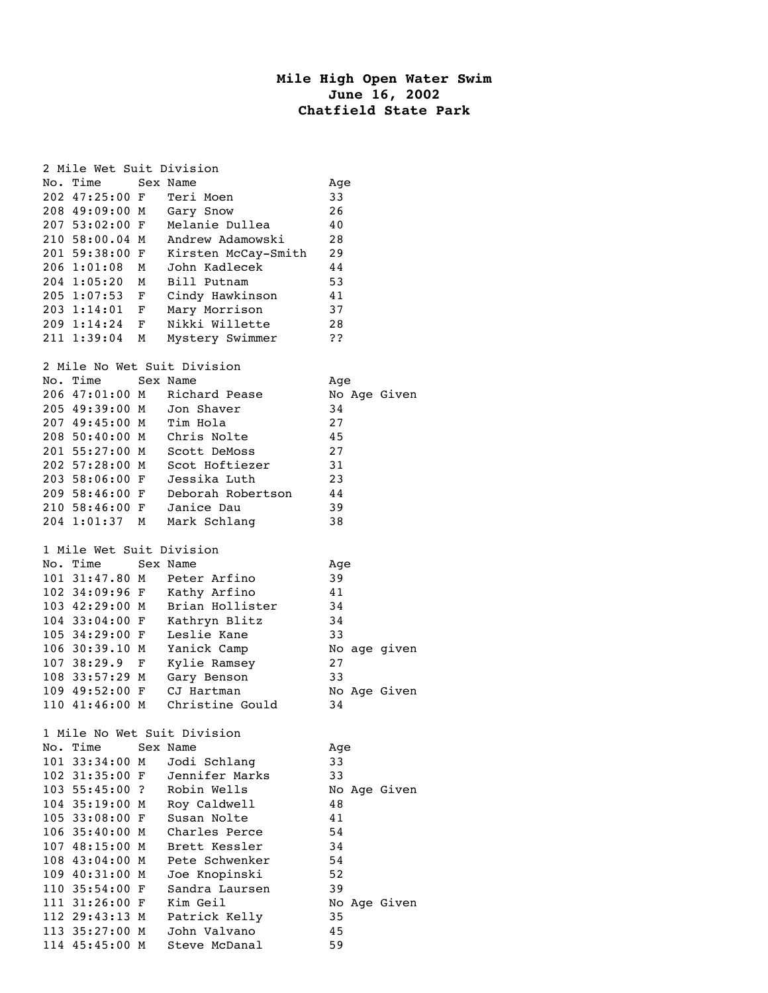## **Mile High Open Water Swim June 16, 2002 Chatfield State Park**

|                             | 2 Mile Wet Suit Division         |   |                               |              |  |  |  |  |  |  |
|-----------------------------|----------------------------------|---|-------------------------------|--------------|--|--|--|--|--|--|
| No.                         | Time                             |   | Sex Name                      | Age          |  |  |  |  |  |  |
|                             | 202 47:25:00 F                   |   | Teri Moen                     | 33           |  |  |  |  |  |  |
|                             | 208 49:09:00 M                   |   | Gary Snow                     | 26           |  |  |  |  |  |  |
|                             | 207 53:02:00 F                   |   | Melanie Dullea                | 40           |  |  |  |  |  |  |
|                             | 210 58:00.04 M                   |   | Andrew Adamowski              | 28           |  |  |  |  |  |  |
|                             | 201 59:38:00 F                   |   | Kirsten McCay-Smith           | 29           |  |  |  |  |  |  |
|                             | 206 1:01:08                      | М | John Kadlecek                 | 44           |  |  |  |  |  |  |
|                             | 204 1:05:20                      | М | Bill Putnam                   | 53           |  |  |  |  |  |  |
|                             |                                  |   |                               |              |  |  |  |  |  |  |
|                             | 205 1:07:53                      | F | Cindy Hawkinson               | 41           |  |  |  |  |  |  |
|                             | 203 1:14:01 F                    |   | Mary Morrison                 | 37           |  |  |  |  |  |  |
|                             | 209 1:14:24 F                    |   | Nikki Willette                | 28           |  |  |  |  |  |  |
|                             | 211 1:39:04                      | М | Mystery Swimmer               | ??           |  |  |  |  |  |  |
| 2 Mile No Wet Suit Division |                                  |   |                               |              |  |  |  |  |  |  |
|                             | No. Time                         |   | Sex Name                      | Age          |  |  |  |  |  |  |
|                             | 206 47:01:00 M                   |   | Richard Pease                 | No Age Given |  |  |  |  |  |  |
|                             | 205 49:39:00 M                   |   | Jon Shaver                    | 34           |  |  |  |  |  |  |
|                             | 207 49:45:00 M                   |   | Tim Hola                      | 27           |  |  |  |  |  |  |
|                             | 208 50:40:00 M                   |   |                               | 45           |  |  |  |  |  |  |
|                             | 201 55:27:00 M                   |   | Chris Nolte<br>Scott DeMoss   | 27           |  |  |  |  |  |  |
|                             | 202 57:28:00 M                   |   |                               |              |  |  |  |  |  |  |
|                             |                                  |   | Scot Hoftiezer                | 31           |  |  |  |  |  |  |
|                             | 203 58:06:00 F                   |   | Jessika Luth                  | 23           |  |  |  |  |  |  |
|                             | 209 58:46:00 F                   |   | Deborah Robertson             | 44           |  |  |  |  |  |  |
|                             | 210 58:46:00 F                   |   | Janice Dau                    | 39           |  |  |  |  |  |  |
|                             | 204 1:01:37                      | М | Mark Schlang                  | 38           |  |  |  |  |  |  |
| 1 Mile Wet Suit Division    |                                  |   |                               |              |  |  |  |  |  |  |
|                             |                                  |   |                               |              |  |  |  |  |  |  |
|                             |                                  |   |                               |              |  |  |  |  |  |  |
|                             | No. Time                         |   | Sex Name                      | Age          |  |  |  |  |  |  |
|                             | 101 31:47.80 M                   |   | Peter Arfino                  | 39           |  |  |  |  |  |  |
|                             | 102 34:09:96 F                   |   | Kathy Arfino                  | 41           |  |  |  |  |  |  |
|                             | 103 42:29:00 M                   |   | Brian Hollister               | 34           |  |  |  |  |  |  |
|                             | 104 33:04:00 F                   |   | Kathryn Blitz                 | 34           |  |  |  |  |  |  |
|                             | 105 34:29:00 F                   |   | Leslie Kane                   | 33           |  |  |  |  |  |  |
|                             | 106 30:39.10 M                   |   | Yanick Camp                   | No age given |  |  |  |  |  |  |
|                             | 107 38:29.9                      | F | Kylie Ramsey                  | $27$         |  |  |  |  |  |  |
|                             | 108 33:57:29 M                   |   | Gary Benson                   | 33           |  |  |  |  |  |  |
|                             | 109 49:52:00 F                   |   | CJ Hartman                    | No Age Given |  |  |  |  |  |  |
|                             | 110 41:46:00 M                   |   | Christine Gould               | 34           |  |  |  |  |  |  |
|                             |                                  |   |                               |              |  |  |  |  |  |  |
|                             |                                  |   | 1 Mile No Wet Suit Division   |              |  |  |  |  |  |  |
| No.                         | Time                             |   | Sex Name                      | Age          |  |  |  |  |  |  |
|                             | 101 33:34:00 M                   |   | Jodi Schlang                  | 33           |  |  |  |  |  |  |
|                             | 102 31:35:00 F                   |   | Jennifer Marks                | 33           |  |  |  |  |  |  |
|                             | 103 55:45:00 ?                   |   | Robin Wells                   | No Age Given |  |  |  |  |  |  |
|                             | 104 35:19:00 M                   |   | Roy Caldwell                  | 48           |  |  |  |  |  |  |
|                             | 105 33:08:00 F                   |   | Susan Nolte                   | 41           |  |  |  |  |  |  |
|                             | 106 35:40:00 M                   |   | Charles Perce                 | 54           |  |  |  |  |  |  |
|                             | 107 48:15:00 M                   |   | Brett Kessler                 | 34           |  |  |  |  |  |  |
|                             | 108 43:04:00 M                   |   | Pete Schwenker                | 54           |  |  |  |  |  |  |
|                             | 109 40:31:00 M                   |   | Joe Knopinski                 | 52           |  |  |  |  |  |  |
|                             | 110 35:54:00 F                   |   | Sandra Laursen                | 39           |  |  |  |  |  |  |
|                             | 111 31:26:00 F                   |   | Kim Geil                      | No Age Given |  |  |  |  |  |  |
|                             | 112 29:43:13 M                   |   | Patrick Kelly                 | 35           |  |  |  |  |  |  |
|                             | 113 35:27:00 M<br>114 45:45:00 M |   | John Valvano<br>Steve McDanal | 45<br>59     |  |  |  |  |  |  |